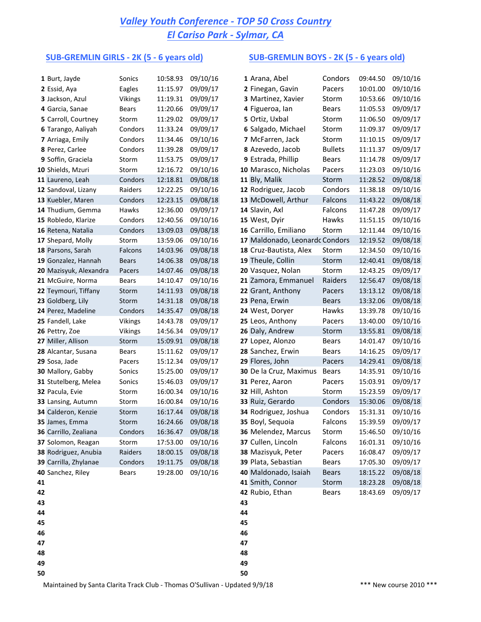## *Valley Youth Conference - TOP 50 Cross Country El Cariso Park - Sylmar, CA*

### **SUB-GREMLIN GIRLS** - 2K (5 - 6 years old) **SUB-GREMLIN BOYS** - 2K (5 - 6 years old)

|    | 1 Burt, Jayde          | Sonics         | 10:58.93 | 09/10/16 |    | 1 Arana, Abel                  | Condors        | 09:44.50 | 09/10/16 |
|----|------------------------|----------------|----------|----------|----|--------------------------------|----------------|----------|----------|
|    | 2 Essid, Aya           | Eagles         | 11:15.97 | 09/09/17 |    | 2 Finegan, Gavin               | Pacers         | 10:01.00 | 09/10/16 |
|    | 3 Jackson, Azul        | Vikings        | 11:19.31 | 09/09/17 |    | 3 Martinez, Xavier             | Storm          | 10:53.66 | 09/10/16 |
|    | 4 Garcia, Sanae        | <b>Bears</b>   | 11:20.66 | 09/09/17 |    | 4 Figueroa, Ian                | Bears          | 11:05.53 | 09/09/17 |
|    | 5 Carroll, Courtney    | Storm          | 11:29.02 | 09/09/17 |    | 5 Ortiz, Uxbal                 | Storm          | 11:06.50 | 09/09/17 |
|    | 6 Tarango, Aaliyah     | Condors        | 11:33.24 | 09/09/17 |    | 6 Salgado, Michael             | Storm          | 11:09.37 | 09/09/17 |
|    | 7 Arriaga, Emily       | Condors        | 11:34.46 | 09/10/16 |    | 7 McFarren, Jack               | Storm          | 11:10.15 | 09/09/17 |
|    | 8 Perez, Carlee        | Condors        | 11:39.28 | 09/09/17 |    | 8 Azevedo, Jacob               | <b>Bullets</b> | 11:11.37 | 09/09/17 |
|    | 9 Soffin, Graciela     | Storm          | 11:53.75 | 09/09/17 |    | 9 Estrada, Phillip             | <b>Bears</b>   | 11:14.78 | 09/09/17 |
|    | 10 Shields, Mzuri      | Storm          | 12:16.72 | 09/10/16 |    | 10 Marasco, Nicholas           | Pacers         | 11:23.03 | 09/10/16 |
|    | 11 Laureno, Leah       | Condors        | 12:18.81 | 09/08/18 |    | 11 Bly, Malik                  | Storm          | 11:28.52 | 09/08/18 |
|    | 12 Sandoval, Lizany    | Raiders        | 12:22.25 | 09/10/16 |    | 12 Rodriguez, Jacob            | Condors        | 11:38.18 | 09/10/16 |
|    | 13 Kuebler, Maren      | Condors        | 12:23.15 | 09/08/18 |    | 13 McDowell, Arthur            | Falcons        | 11:43.22 | 09/08/18 |
|    | 14 Thudium, Gemma      | Hawks          | 12:36.00 | 09/09/17 |    | 14 Slavin, Axl                 | Falcons        | 11:47.28 | 09/09/17 |
|    | 15 Robledo, Klarize    | Condors        | 12:40.56 | 09/10/16 |    | 15 West, Dyir                  | Hawks          | 11:51.15 | 09/10/16 |
|    | 16 Retena, Natalia     | Condors        | 13:09.03 | 09/08/18 |    | 16 Carrillo, Emiliano          | Storm          | 12:11.44 | 09/10/16 |
|    | 17 Shepard, Molly      | Storm          | 13:59.06 | 09/10/16 |    | 17 Maldonado, Leonardc Condors |                | 12:19.52 | 09/08/18 |
|    | 18 Parsons, Sarah      | Falcons        | 14:03.96 | 09/08/18 |    | 18 Cruz-Bautista, Alex         | Storm          | 12:34.50 | 09/10/16 |
|    | 19 Gonzalez, Hannah    | <b>Bears</b>   | 14:06.38 | 09/08/18 |    | 19 Theule, Collin              | Storm          | 12:40.41 | 09/08/18 |
|    | 20 Mazisyuk, Alexandra | Pacers         | 14:07.46 | 09/08/18 |    | 20 Vasquez, Nolan              | Storm          | 12:43.25 | 09/09/17 |
|    | 21 McGuire, Norma      | Bears          | 14:10.47 | 09/10/16 |    | 21 Zamora, Emmanuel            | Raiders        | 12:56.47 | 09/08/18 |
|    | 22 Teymouri, Tiffany   | Storm          | 14:11.93 | 09/08/18 |    | 22 Grant, Anthony              | Pacers         | 13:13.12 | 09/08/18 |
|    | 23 Goldberg, Lily      | Storm          | 14:31.18 | 09/08/18 |    | 23 Pena, Erwin                 | <b>Bears</b>   | 13:32.06 | 09/08/18 |
|    | 24 Perez, Madeline     | Condors        | 14:35.47 | 09/08/18 |    | 24 West, Doryer                | Hawks          | 13:39.78 | 09/10/16 |
|    | 25 Fandell, Lake       | <b>Vikings</b> | 14:43.78 | 09/09/17 |    | 25 Leos, Anthony               | Pacers         | 13:40.00 | 09/10/16 |
|    | 26 Pettry, Zoe         | <b>Vikings</b> | 14:56.34 | 09/09/17 |    | 26 Daly, Andrew                | Storm          | 13:55.81 | 09/08/18 |
|    | 27 Miller, Allison     | Storm          | 15:09.91 | 09/08/18 |    | 27 Lopez, Alonzo               | <b>Bears</b>   | 14:01.47 | 09/10/16 |
|    | 28 Alcantar, Susana    | Bears          | 15:11.62 | 09/09/17 |    | 28 Sanchez, Erwin              | <b>Bears</b>   | 14:16.25 | 09/09/17 |
|    | 29 Sosa, Jade          | Pacers         | 15:12.34 | 09/09/17 |    | 29 Flores, John                | Pacers         | 14:29.41 | 09/08/18 |
|    | 30 Mallory, Gabby      | Sonics         | 15:25.00 | 09/09/17 |    | 30 De la Cruz, Maximus         | <b>Bears</b>   | 14:35.91 | 09/10/16 |
|    | 31 Stutelberg, Melea   | Sonics         | 15:46.03 | 09/09/17 |    | 31 Perez, Aaron                | Pacers         | 15:03.91 | 09/09/17 |
|    | 32 Pacula, Evie        | Storm          | 16:00.34 | 09/10/16 |    | 32 Hill, Ashton                | Storm          | 15:23.59 | 09/09/17 |
|    | 33 Lansing, Autumn     | Storm          | 16:00.84 | 09/10/16 |    | 33 Ruiz, Gerardo               | Condors        | 15:30.06 | 09/08/18 |
|    | 34 Calderon, Kenzie    | Storm          | 16:17.44 | 09/08/18 |    | 34 Rodriguez, Joshua           | Condors        | 15:31.31 | 09/10/16 |
|    | 35 James, Emma         | Storm          | 16:24.66 | 09/08/18 |    | 35 Boyl, Sequoia               | Falcons        | 15:39.59 | 09/09/17 |
|    | 36 Carrillo, Zealiana  | Condors        | 16:36.47 | 09/08/18 |    | 36 Melendez, Marcus            | Storm          | 15:46.50 | 09/10/16 |
|    | 37 Solomon, Reagan     | Storm          | 17:53.00 | 09/10/16 |    | 37 Cullen, Lincoln             | Falcons        | 16:01.31 | 09/10/16 |
|    | 38 Rodriguez, Anubia   | Raiders        | 18:00.15 | 09/08/18 |    | 38 Mazisyuk, Peter             | Pacers         | 16:08.47 | 09/09/17 |
|    | 39 Carrilla, Zhylanae  | Condors        | 19:11.75 | 09/08/18 |    | 39 Plata, Sebastian            | Bears          | 17:05.30 | 09/09/17 |
|    | 40 Sanchez, Riley      | <b>Bears</b>   | 19:28.00 | 09/10/16 |    | 40 Maldonado, Isaiah           | <b>Bears</b>   | 18:15.22 | 09/08/18 |
| 41 |                        |                |          |          |    | 41 Smith, Connor               | Storm          | 18:23.28 | 09/08/18 |
| 42 |                        |                |          |          |    | 42 Rubio, Ethan                | Bears          | 18:43.69 | 09/09/17 |
| 43 |                        |                |          |          | 43 |                                |                |          |          |
| 44 |                        |                |          |          | 44 |                                |                |          |          |
| 45 |                        |                |          |          | 45 |                                |                |          |          |
| 46 |                        |                |          |          | 46 |                                |                |          |          |
| 47 |                        |                |          |          | 47 |                                |                |          |          |
| 48 |                        |                |          |          | 48 |                                |                |          |          |
| 49 |                        |                |          |          | 49 |                                |                |          |          |
| 50 |                        |                |          |          | 50 |                                |                |          |          |

|          | 1 Arana, Abel                 | Condors        | 09:44.50 | 09/10/16 |
|----------|-------------------------------|----------------|----------|----------|
|          | 2 Finegan, Gavin              | Pacers         | 10:01.00 | 09/10/16 |
|          | 3 Martinez, Xavier            | Storm          | 10:53.66 | 09/10/16 |
|          | 4 Figueroa, Ian               | Bears          | 11:05.53 | 09/09/17 |
|          | 5 Ortiz, Uxbal                | Storm          | 11:06.50 | 09/09/17 |
|          | 6 Salgado, Michael            | Storm          | 11:09.37 | 09/09/17 |
|          | 7 McFarren, Jack              | Storm          | 11:10.15 | 09/09/17 |
|          | 8 Azevedo, Jacob              | <b>Bullets</b> | 11:11.37 | 09/09/17 |
|          | 9 Estrada, Phillip            | <b>Bears</b>   | 11:14.78 | 09/09/17 |
|          | 0 Marasco, Nicholas           | Pacers         | 11:23.03 | 09/10/16 |
|          | 1 Bly, Malik                  | Storm          | 11:28.52 | 09/08/18 |
|          | 2 Rodriguez, Jacob            | Condors        | 11:38.18 | 09/10/16 |
|          | 3 McDowell, Arthur            | Falcons        | 11:43.22 | 09/08/18 |
|          | 4 Slavin, Axl                 | Falcons        | 11:47.28 | 09/09/17 |
|          | 5 West, Dyir                  | Hawks          | 11:51.15 | 09/10/16 |
|          | 6 Carrillo, Emiliano          | Storm          | 12:11.44 | 09/10/16 |
|          | 7 Maldonado, Leonardc Condors |                | 12:19.52 | 09/08/18 |
|          | 8 Cruz-Bautista, Alex         | Storm          | 12:34.50 | 09/10/16 |
|          | 9 Theule, Collin              | Storm          | 12:40.41 | 09/08/18 |
|          | 0 Vasquez, Nolan              | Storm          | 12:43.25 | 09/09/17 |
|          | 1 Zamora, Emmanuel            | Raiders        | 12:56.47 | 09/08/18 |
|          | 2 Grant, Anthony              | Pacers         | 13:13.12 | 09/08/18 |
|          | 3 Pena, Erwin                 | <b>Bears</b>   | 13:32.06 | 09/08/18 |
|          | 4 West, Doryer                | Hawks          | 13:39.78 | 09/10/16 |
|          | 5 Leos, Anthony               | Pacers         | 13:40.00 | 09/10/16 |
|          | <b>6 Daly, Andrew</b>         | Storm          | 13:55.81 | 09/08/18 |
|          | 7 Lopez, Alonzo               | <b>Bears</b>   | 14:01.47 | 09/10/16 |
|          | 8 Sanchez, Erwin              | <b>Bears</b>   | 14:16.25 | 09/09/17 |
|          | 9 Flores, John                | Pacers         | 14:29.41 | 09/08/18 |
|          | 0 De la Cruz, Maximus         | Bears          | 14:35.91 | 09/10/16 |
|          | <b>31</b> Perez, Aaron        | Pacers         | 15:03.91 | 09/09/17 |
|          | 2 Hill, Ashton                | Storm          | 15:23.59 | 09/09/17 |
|          | 3 Ruiz, Gerardo               | Condors        | 15:30.06 | 09/08/18 |
|          | 4 Rodriguez, Joshua           | Condors        | 15:31.31 | 09/10/16 |
|          | 5 Boyl, Sequoia               | Falcons        | 15:39.59 | 09/09/17 |
|          | 6 Melendez, Marcus            | Storm          | 15:46.50 | 09/10/16 |
|          | 37 Cullen, Lincoln            | Falcons        | 16:01.31 | 09/10/16 |
|          | 8 Mazisyuk, Peter             | Pacers         | 16:08.47 | 09/09/17 |
|          | 9 Plata, Sebastian            | <b>Bears</b>   | 17:05.30 | 09/09/17 |
|          | 0 Maldonado, Isaiah           | <b>Bears</b>   | 18:15.22 | 09/08/18 |
|          | 11 Smith, Connor              | Storm          | 18:23.28 | 09/08/18 |
|          | 2 Rubio, Ethan                | <b>Bears</b>   | 18:43.69 | 09/09/17 |
| 13       |                               |                |          |          |
| 14       |                               |                |          |          |
| 15       |                               |                |          |          |
| 16<br>17 |                               |                |          |          |
|          |                               |                |          |          |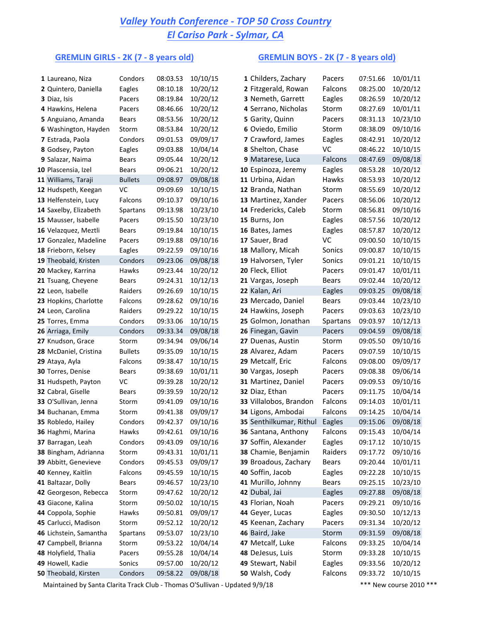## *Valley Youth Conference - TOP 50 Cross Country El Cariso Park - Sylmar, CA*

## GREMLIN GIRLS - 2K (7 - 8 years old) GREMLIN BOYS - 2K (7 - 8 years old)

| 1 Laureano, Niza       | Condors        | 08:03.53 | 10/10/15 | 1 Childers, Zachary     | Pacers   | 07:51.66 | 10/01/11 |
|------------------------|----------------|----------|----------|-------------------------|----------|----------|----------|
| 2 Quintero, Daniella   | Eagles         | 08:10.18 | 10/20/12 | 2 Fitzgerald, Rowan     | Falcons  | 08:25.00 | 10/20/12 |
| 3 Diaz, Isis           | Pacers         | 08:19.84 | 10/20/12 | 3 Nemeth, Garrett       | Eagles   | 08:26.59 | 10/20/12 |
| 4 Hawkins, Helena      | Pacers         | 08:46.66 | 10/20/12 | 4 Serrano, Nicholas     | Storm    | 08:27.69 | 10/01/11 |
| 5 Anguiano, Amanda     | Bears          | 08:53.56 | 10/20/12 | 5 Garity, Quinn         | Pacers   | 08:31.13 | 10/23/10 |
| 6 Washington, Hayden   | Storm          | 08:53.84 | 10/20/12 | 6 Oviedo, Emilio        | Storm    | 08:38.09 | 09/10/16 |
| 7 Estrada, Paola       | Condors        | 09:01.53 | 09/09/17 | 7 Crawford, James       | Eagles   | 08:42.91 | 10/20/12 |
| 8 Godsey, Payton       | Eagles         | 09:03.88 | 10/04/14 | 8 Shelton, Chase        | VC       | 08:46.22 | 10/10/15 |
| 9 Salazar, Naima       | Bears          | 09:05.44 | 10/20/12 | 9 Matarese, Luca        | Falcons  | 08:47.69 | 09/08/18 |
| 10 Plascensia, Izel    | Bears          | 09:06.21 | 10/20/12 | 10 Espinoza, Jeremy     | Eagles   | 08:53.28 | 10/20/12 |
| 11 Williams, Taraji    | <b>Bullets</b> | 09:08.97 | 09/08/18 | 11 Urbina, Aidan        | Hawks    | 08:53.93 | 10/20/12 |
| 12 Hudspeth, Keegan    | VC             | 09:09.69 | 10/10/15 | 12 Branda, Nathan       | Storm    | 08:55.69 | 10/20/12 |
| 13 Helfenstein, Lucy   | Falcons        | 09:10.37 | 09/10/16 | 13 Martinez, Xander     | Pacers   | 08:56.06 | 10/20/12 |
| 14 Saxelby, Elizabeth  | Spartans       | 09:13.98 | 10/23/10 | 14 Fredericks, Caleb    | Storm    | 08:56.81 | 09/10/16 |
| 15 Mausser, Isabelle   | Pacers         | 09:15.50 | 10/23/10 | 15 Burns, Jon           | Eagles   | 08:57.56 | 10/20/12 |
| 16 Velazquez, Meztli   | Bears          | 09:19.84 | 10/10/15 | 16 Bates, James         | Eagles   | 08:57.87 | 10/20/12 |
| 17 Gonzalez, Madeline  | Pacers         | 09:19.88 | 09/10/16 | 17 Sauer, Brad          | VC       | 09:00.50 | 10/10/15 |
| 18 Frieborn, Kelsey    | Eagles         | 09:22.59 | 09/10/16 | 18 Mallory, Micah       | Sonics   | 09:00.87 | 10/10/15 |
| 19 Theobald, Kristen   | Condors        | 09:23.06 | 09/08/18 | 19 Halvorsen, Tyler     | Sonics   | 09:01.21 | 10/10/15 |
| 20 Mackey, Karrina     | Hawks          | 09:23.44 | 10/20/12 | 20 Fleck, Elliot        | Pacers   | 09:01.47 | 10/01/11 |
| 21 Tsuang, Cheyene     | <b>Bears</b>   | 09:24.31 | 10/12/13 | 21 Vargas, Joseph       | Bears    | 09:02.44 | 10/20/12 |
| 22 Leon, Isabelle      | Raiders        | 09:26.69 | 10/10/15 | 22 Kalan, Ari           | Eagles   | 09:03.25 | 09/08/18 |
| 23 Hopkins, Charlotte  | Falcons        | 09:28.62 | 09/10/16 | 23 Mercado, Daniel      | Bears    | 09:03.44 | 10/23/10 |
| 24 Leon, Carolina      | Raiders        | 09:29.22 | 10/10/15 | 24 Hawkins, Joseph      | Pacers   | 09:03.63 | 10/23/10 |
| 25 Torres, Emma        | Condors        | 09:33.06 | 10/10/15 | 25 Golmon, Jonathan     | Spartans | 09:03.97 | 10/12/13 |
| 26 Arriaga, Emily      | Condors        | 09:33.34 | 09/08/18 | 26 Finegan, Gavin       | Pacers   | 09:04.59 | 09/08/18 |
| 27 Knudson, Grace      | Storm          | 09:34.94 | 09/06/14 | 27 Duenas, Austin       | Storm    | 09:05.50 | 09/10/16 |
| 28 McDaniel, Cristina  | <b>Bullets</b> | 09:35.09 | 10/10/15 | 28 Alvarez, Adam        | Pacers   | 09:07.59 | 10/10/15 |
| 29 Ataya, Ayla         | Falcons        | 09:38.47 | 10/10/15 | 29 Metcalf, Eric        | Falcons  | 09:08.00 | 09/09/17 |
| 30 Torres, Denise      | Bears          | 09:38.69 | 10/01/11 | 30 Vargas, Joseph       | Pacers   | 09:08.38 | 09/06/14 |
| 31 Hudspeth, Payton    | VC             | 09:39.28 | 10/20/12 | 31 Martinez, Daniel     | Pacers   | 09:09.53 | 09/10/16 |
| 32 Cabral, Giselle     | Bears          | 09:39.59 | 10/20/12 | 32 Diaz, Ethan          | Pacers   | 09:11.75 | 10/04/14 |
| 33 O'Sullivan, Jenna   | Storm          | 09:41.09 | 09/10/16 | 33 Villalobos, Brandon  | Falcons  | 09:14.03 | 10/01/11 |
| 34 Buchanan, Emma      | Storm          | 09:41.38 | 09/09/17 | 34 Ligons, Ambodai      | Falcons  | 09:14.25 | 10/04/14 |
| 35 Robledo, Hailey     | Condors        | 09:42.37 | 09/10/16 | 35 Senthilkumar, Rithul | Eagles   | 09:15.06 | 09/08/18 |
| 36 Haghmi, Marina      | Hawks          | 09:42.61 | 09/10/16 | 36 Santana, Anthony     | Falcons  | 09:15.43 | 10/04/14 |
| 37 Barragan, Leah      | Condors        | 09:43.09 | 09/10/16 | 37 Soffin, Alexander    | Eagles   | 09:17.12 | 10/10/15 |
| 38 Bingham, Adrianna   | Storm          | 09:43.31 | 10/01/11 | 38 Chamie, Benjamin     | Raiders  | 09:17.72 | 09/10/16 |
| 39 Abbitt, Genevieve   | Condors        | 09:45.53 | 09/09/17 | 39 Broadous, Zachary    | Bears    | 09:20.44 | 10/01/11 |
| 40 Kenney, Kaitlin     | Falcons        | 09:45.59 | 10/10/15 | 40 Soffin, Jacob        | Eagles   | 09:22.28 | 10/10/15 |
| 41 Baltazar, Dolly     | Bears          | 09:46.57 | 10/23/10 | 41 Murillo, Johnny      | Bears    | 09:25.15 | 10/23/10 |
| 42 Georgeson, Rebecca  | Storm          | 09:47.62 | 10/20/12 | 42 Dubal, Jai           | Eagles   | 09:27.88 | 09/08/18 |
| 43 Giacone, Kalina     | Storm          | 09:50.02 | 10/10/15 | 43 Florian, Noah        | Pacers   | 09:29.21 | 09/10/16 |
| 44 Coppola, Sophie     | Hawks          | 09:50.81 | 09/09/17 | 44 Geyer, Lucas         | Eagles   | 09:30.50 | 10/12/13 |
| 45 Carlucci, Madison   | Storm          | 09:52.12 | 10/20/12 | 45 Keenan, Zachary      | Pacers   | 09:31.34 | 10/20/12 |
| 46 Lichstein, Samantha | Spartans       | 09:53.07 | 10/23/10 | 46 Baird, Jake          | Storm    | 09:31.59 | 09/08/18 |
| 47 Campbell, Brianna   | Storm          | 09:53.22 | 10/04/14 | 47 Metcalf, Luke        | Falcons  | 09:33.25 | 10/04/14 |
| 48 Holyfield, Thalia   | Pacers         | 09:55.28 | 10/04/14 | 48 DeJesus, Luis        | Storm    | 09:33.28 | 10/10/15 |
| 49 Howell, Kadie       | Sonics         | 09:57.00 | 10/20/12 | 49 Stewart, Nabil       | Eagles   | 09:33.56 | 10/20/12 |
| 50 Theobald, Kirsten   | Condors        | 09:58.22 | 09/08/18 | 50 Walsh, Cody          | Falcons  | 09:33.72 | 10/10/15 |
|                        |                |          |          |                         |          |          |          |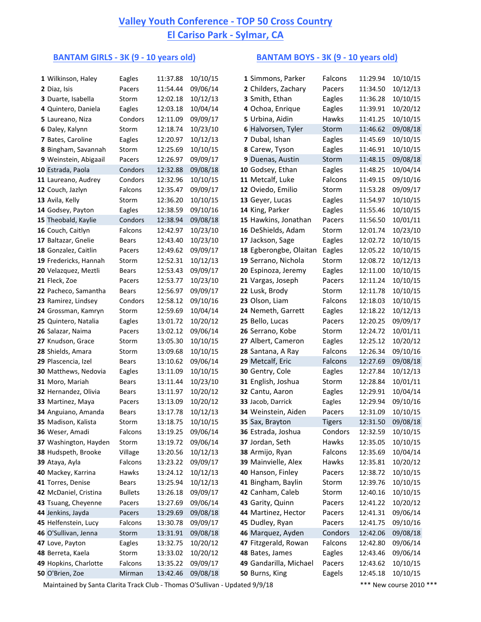## **Valley Youth Conference - TOP 50 Cross Country El Cariso Park - Sylmar, CA**

### BANTAM GIRLS - 3K (9 - 10 years old) **BANTAM BOYS** - 3K (9 - 10 years old)

| 1 Wilkinson, Haley    | Eagles         | 11:37.88 | 10/10/15 | 1 Simmons, Parker      | Falcons       | 11:29.94 | 10/10/15 |
|-----------------------|----------------|----------|----------|------------------------|---------------|----------|----------|
| 2 Diaz, Isis          | Pacers         | 11:54.44 | 09/06/14 | 2 Childers, Zachary    | Pacers        | 11:34.50 | 10/12/13 |
| 3 Duarte, Isabella    | Storm          | 12:02.18 | 10/12/13 | 3 Smith, Ethan         | Eagles        | 11:36.28 | 10/10/15 |
| 4 Quintero, Daniela   | Eagles         | 12:03.18 | 10/04/14 | 4 Ochoa, Enrique       | Eagles        | 11:39.91 | 10/20/12 |
| 5 Laureano, Niza      | Condors        | 12:11.09 | 09/09/17 | 5 Urbina, Aidin        | Hawks         | 11:41.25 | 10/10/15 |
| 6 Daley, Kalynn       | Storm          | 12:18.74 | 10/23/10 | 6 Halvorsen, Tyler     | Storm         | 11:46.62 | 09/08/18 |
| 7 Bates, Caroline     | Eagles         | 12:20.97 | 10/12/13 | 7 Dubal, Ishan         | Eagles        | 11:45.69 | 10/10/15 |
| 8 Bingham, Savannah   | Storm          | 12:25.69 | 10/10/15 | 8 Carew, Tyson         | Eagles        | 11:46.91 | 10/10/15 |
| 9 Weinstein, Abigaail | Pacers         | 12:26.97 | 09/09/17 | 9 Duenas, Austin       | Storm         | 11:48.15 | 09/08/18 |
| 10 Estrada, Paola     | Condors        | 12:32.88 | 09/08/18 | 10 Godsey, Ethan       | Eagles        | 11:48.25 | 10/04/14 |
| 11 Laureano, Audrey   | Condors        | 12:32.96 | 10/10/15 | 11 Metcalf, Luke       | Falcons       | 11:49.15 | 09/10/16 |
| 12 Couch, Jazlyn      | Falcons        | 12:35.47 | 09/09/17 | 12 Oviedo, Emilio      | Storm         | 11:53.28 | 09/09/17 |
| 13 Avila, Kelly       | Storm          | 12:36.20 | 10/10/15 | 13 Geyer, Lucas        | Eagles        | 11:54.97 | 10/10/15 |
| 14 Godsey, Payton     | Eagles         | 12:38.59 | 09/10/16 | 14 King, Parker        | Eagles        | 11:55.46 | 10/10/15 |
| 15 Theobald, Kaylie   | Condors        | 12:38.94 | 09/08/18 | 15 Hawkins, Jonathan   | Pacers        | 11:56.50 | 10/01/11 |
| 16 Couch, Caitlyn     | Falcons        | 12:42.97 | 10/23/10 | 16 DeShields, Adam     | Storm         | 12:01.74 | 10/23/10 |
| 17 Baltazar, Gnelie   | Bears          | 12:43.40 | 10/23/10 | 17 Jackson, Sage       | Eagles        | 12:02.72 | 10/10/15 |
| 18 Gonzalez, Caitlin  | Pacers         | 12:49.62 | 09/09/17 | 18 Egberongbe, Olaitan | Eagles        | 12:05.22 | 10/10/15 |
| 19 Fredericks, Hannah | Storm          | 12:52.31 | 10/12/13 | 19 Serrano, Nichola    | Storm         | 12:08.72 | 10/12/13 |
| 20 Velazquez, Meztli  | Bears          | 12:53.43 | 09/09/17 | 20 Espinoza, Jeremy    | Eagles        | 12:11.00 | 10/10/15 |
| 21 Fleck, Zoe         | Pacers         | 12:53.77 | 10/23/10 | 21 Vargas, Joseph      | Pacers        | 12:11.24 | 10/10/15 |
| 22 Pacheco, Samantha  | Bears          | 12:56.97 | 09/09/17 | 22 Lusk, Brody         | Storm         | 12:11.78 | 10/10/15 |
| 23 Ramirez, Lindsey   | Condors        | 12:58.12 | 09/10/16 | 23 Olson, Liam         | Falcons       | 12:18.03 | 10/10/15 |
| 24 Grossman, Kamryn   | Storm          | 12:59.69 | 10/04/14 | 24 Nemeth, Garrett     | Eagles        | 12:18.22 | 10/12/13 |
| 25 Quintero, Natalia  | Eagles         | 13:01.72 | 10/20/12 | 25 Bello, Lucas        | Pacers        | 12:20.25 | 09/09/17 |
| 26 Salazar, Naima     | Pacers         | 13:02.12 | 09/06/14 | 26 Serrano, Kobe       | Storm         | 12:24.72 | 10/01/11 |
| 27 Knudson, Grace     | Storm          | 13:05.30 | 10/10/15 | 27 Albert, Cameron     | Eagles        | 12:25.12 | 10/20/12 |
| 28 Shields, Amara     | Storm          | 13:09.68 | 10/10/15 | 28 Santana, A Ray      | Falcons       | 12:26.34 | 09/10/16 |
| 29 Plascencia, Izel   | Bears          | 13:10.62 | 09/06/14 | 29 Metcalf, Eric       | Falcons       | 12:27.69 | 09/08/18 |
| 30 Matthews, Nedovia  | Eagles         | 13:11.09 | 10/10/15 | 30 Gentry, Cole        | Eagles        | 12:27.84 | 10/12/13 |
| 31 Moro, Mariah       | Bears          | 13:11.44 | 10/23/10 | 31 English, Joshua     | Storm         | 12:28.84 | 10/01/11 |
| 32 Hernandez, Olivia  | Bears          | 13:11.97 | 10/20/12 | 32 Cantu, Aaron        | Eagles        | 12:29.91 | 10/04/14 |
| 33 Martinez, Maya     | Pacers         | 13:13.09 | 10/20/12 | 33 Jacob, Darrick      | Eagles        | 12:29.94 | 09/10/16 |
| 34 Anguiano, Amanda   | <b>Bears</b>   | 13:17.78 | 10/12/13 | 34 Weinstein, Aiden    | Pacers        | 12:31.09 | 10/10/15 |
| 35 Madison, Kalista   | Storm          | 13:18.75 | 10/10/15 | 35 Sax, Brayton        | <b>Tigers</b> | 12:31.50 | 09/08/18 |
| 36 Weser, Amadi       | Falcons        | 13:19.25 | 09/06/14 | 36 Estrada, Joshua     | Condors       | 12:32.59 | 10/10/15 |
| 37 Washington, Hayden | Storm          | 13:19.72 | 09/06/14 | 37 Jordan, Seth        | Hawks         | 12:35.05 | 10/10/15 |
| 38 Hudspeth, Brooke   | Village        | 13:20.56 | 10/12/13 | 38 Armijo, Ryan        | Falcons       | 12:35.69 | 10/04/14 |
| 39 Ataya, Ayla        | Falcons        | 13:23.22 | 09/09/17 | 39 Mainvielle, Alex    | Hawks         | 12:35.81 | 10/20/12 |
| 40 Mackey, Karrina    | Hawks          | 13:24.12 | 10/12/13 | 40 Hanson, Finley      | Pacers        | 12:38.72 | 10/10/15 |
| 41 Torres, Denise     | <b>Bears</b>   | 13:25.94 | 10/12/13 | 41 Bingham, Baylin     | Storm         | 12:39.76 | 10/10/15 |
| 42 McDaniel, Cristina | <b>Bullets</b> | 13:26.18 | 09/09/17 | 42 Canham, Caleb       | Storm         | 12:40.16 | 10/10/15 |
| 43 Tsuang, Cheyenne   | Pacers         | 13:27.69 | 09/06/14 | 43 Garity, Quinn       | Pacers        | 12:41.22 | 10/20/12 |
| 44 Jenkins, Jayda     | Pacers         | 13:29.69 | 09/08/18 | 44 Martinez, Hector    | Pacers        | 12:41.31 | 09/06/14 |
| 45 Helfenstein, Lucy  | Falcons        | 13:30.78 | 09/09/17 | 45 Dudley, Ryan        | Pacers        | 12:41.75 | 09/10/16 |
| 46 O'Sullivan, Jenna  | Storm          | 13:31.91 | 09/08/18 | 46 Marquez, Ayden      | Condors       | 12:42.06 | 09/08/18 |
| 47 Love, Payton       | Eagles         | 13:32.75 | 10/20/12 | 47 Fitzgerald, Rowan   | Falcons       | 12:42.80 | 09/06/14 |
| 48 Berreta, Kaela     | Storm          | 13:33.02 | 10/20/12 | 48 Bates, James        | Eagles        | 12:43.46 | 09/06/14 |
| 49 Hopkins, Charlotte | Falcons        | 13:35.22 | 09/09/17 | 49 Gandarilla, Michael | Pacers        | 12:43.62 | 10/10/15 |
| 50 O'Brien, Zoe       | Mirman         | 13:42.46 | 09/08/18 | 50 Burns, King         | Eagels        | 12:45.18 | 10/10/15 |
|                       |                |          |          |                        |               |          |          |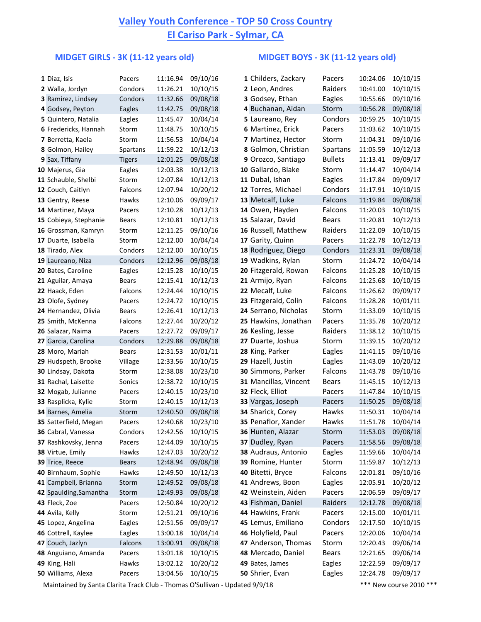# **Valley Youth Conference - TOP 50 Cross Country El Cariso Park - Sylmar, CA**

### **MIDGET GIRLS - 3K (11-12 years old) MIDGET BOYS - 3K (11-12 years old)**

| 1 Diaz, Isis           | Pacers        | 11:16.94 | 09/10/16 | 1 Childers, Zackary   | Pacers         | 10:24.06 | 10/10/15             |
|------------------------|---------------|----------|----------|-----------------------|----------------|----------|----------------------|
| 2 Walla, Jordyn        | Condors       | 11:26.21 | 10/10/15 | 2 Leon, Andres        | Raiders        | 10:41.00 | 10/10/15             |
| 3 Ramirez, Lindsey     | Condors       | 11:32.66 | 09/08/18 | 3 Godsey, Ethan       | Eagles         | 10:55.66 | 09/10/16             |
| 4 Godsey, Peyton       | Eagles        | 11:42.75 | 09/08/18 | 4 Buchanan, Aidan     | Storm          | 10:56.28 | 09/08/18             |
| 5 Quintero, Natalia    | Eagles        | 11:45.47 | 10/04/14 | 5 Laureano, Rey       | Condors        | 10:59.25 | 10/10/15             |
| 6 Fredericks, Hannah   | Storm         | 11:48.75 | 10/10/15 | 6 Martinez, Erick     | Pacers         | 11:03.62 | 10/10/15             |
|                        |               |          |          | 7 Martinez, Hector    |                |          | 09/10/16             |
| 7 Berretta, Kaela      | Storm         | 11:56.53 | 10/04/14 |                       | Storm          | 11:04.31 |                      |
| 8 Golmon, Hailey       | Spartans      | 11:59.22 | 10/12/13 | 8 Golmon, Christian   | Spartans       | 11:05.59 | 10/12/13             |
| 9 Sax, Tiffany         | <b>Tigers</b> | 12:01.25 | 09/08/18 | 9 Orozco, Santiago    | <b>Bullets</b> | 11:13.41 | 09/09/17<br>10/04/14 |
| 10 Majerus, Gia        | Eagles        | 12:03.38 | 10/12/13 | 10 Gallardo, Blake    | Storm          | 11:14.47 |                      |
| 11 Schauble, Shelbi    | Storm         | 12:07.84 | 10/12/13 | 11 Dubal, Ishan       | Eagles         | 11:17.84 | 09/09/17             |
| 12 Couch, Caitlyn      | Falcons       | 12:07.94 | 10/20/12 | 12 Torres, Michael    | Condors        | 11:17.91 | 10/10/15             |
| 13 Gentry, Reese       | Hawks         | 12:10.06 | 09/09/17 | 13 Metcalf, Luke      | Falcons        | 11:19.84 | 09/08/18             |
| 14 Martinez, Maya      | Pacers        | 12:10.28 | 10/12/13 | 14 Owen, Hayden       | Falcons        | 11:20.03 | 10/10/15             |
| 15 Cobieya, Stephanie  | Bears         | 12:10.81 | 10/12/13 | 15 Salazar, David     | Bears          | 11:20.81 | 10/12/13             |
| 16 Grossman, Kamryn    | Storm         | 12:11.25 | 09/10/16 | 16 Russell, Matthew   | Raiders        | 11:22.09 | 10/10/15             |
| 17 Duarte, Isabella    | Storm         | 12:12.00 | 10/04/14 | 17 Garity, Quinn      | Pacers         | 11:22.78 | 10/12/13             |
| 18 Tirado, Alex        | Condors       | 12:12.00 | 10/10/15 | 18 Rodriguez, Diego   | Condors        | 11:23.31 | 09/08/18             |
| 19 Laureano, Niza      | Condors       | 12:12.96 | 09/08/18 | 19 Wadkins, Rylan     | Storm          | 11:24.72 | 10/04/14             |
| 20 Bates, Caroline     | Eagles        | 12:15.28 | 10/10/15 | 20 Fitzgerald, Rowan  | Falcons        | 11:25.28 | 10/10/15             |
| 21 Aguilar, Amaya      | Bears         | 12:15.41 | 10/12/13 | 21 Armijo, Ryan       | Falcons        | 11:25.68 | 10/10/15             |
| 22 Haack, Eden         | Falcons       | 12:24.44 | 10/10/15 | 22 Mecalf, Luke       | Falcons        | 11:26.62 | 09/09/17             |
| 23 Olofe, Sydney       | Pacers        | 12:24.72 | 10/10/15 | 23 Fitzgerald, Colin  | Falcons        | 11:28.28 | 10/01/11             |
| 24 Hernandez, Olivia   | Bears         | 12:26.41 | 10/12/13 | 24 Serrano, Nicholas  | Storm          | 11:33.09 | 10/10/15             |
| 25 Smith, McKenna      | Falcons       | 12:27.44 | 10/20/12 | 25 Hawkins, Jonathan  | Pacers         | 11:35.78 | 10/20/12             |
| 26 Salazar, Naima      | Pacers        | 12:27.72 | 09/09/17 | 26 Kesling, Jesse     | Raiders        | 11:38.12 | 10/10/15             |
| 27 Garcia, Carolina    | Condors       | 12:29.88 | 09/08/18 | 27 Duarte, Joshua     | Storm          | 11:39.15 | 10/20/12             |
| 28 Moro, Mariah        | Bears         | 12:31.53 | 10/01/11 | 28 King, Parker       | Eagles         | 11:41.15 | 09/10/16             |
| 29 Hudspeth, Brooke    | Village       | 12:33.56 | 10/10/15 | 29 Hazell, Justin     | Eagles         | 11:43.09 | 10/20/12             |
| 30 Lindsay, Dakota     | Storm         | 12:38.08 | 10/23/10 | 30 Simmons, Parker    | Falcons        | 11:43.78 | 09/10/16             |
| 31 Rachal, Laisette    | Sonics        | 12:38.72 | 10/10/15 | 31 Mancillas, Vincent | <b>Bears</b>   | 11:45.15 | 10/12/13             |
| 32 Mogab, Julianne     | Pacers        | 12:40.15 | 10/23/10 | 32 Fleck, Elliot      | Pacers         | 11:47.84 | 10/10/15             |
| 33 Rasplicka, Kylie    | Storm         | 12:40.15 | 10/12/13 | 33 Vargas, Joseph     | Pacers         | 11:50.25 | 09/08/18             |
| 34 Barnes, Amelia      | Storm         | 12:40.50 | 09/08/18 | 34 Sharick, Corey     | Hawks          | 11:50.31 | 10/04/14             |
| 35 Satterfield, Megan  | Pacers        | 12:40.68 | 10/23/10 | 35 Penaflor, Xander   | Hawks          | 11:51.78 | 10/04/14             |
| 36 Cabral, Vanessa     | Condors       | 12:42.56 | 10/10/15 | 36 Hunten, Alazar     | Storm          | 11:53.03 | 09/08/18             |
| 37 Rashkovsky, Jenna   | Pacers        | 12:44.09 | 10/10/15 | 37 Dudley, Ryan       | Pacers         | 11:58.56 | 09/08/18             |
| 38 Virtue, Emily       | Hawks         | 12:47.03 | 10/20/12 | 38 Audraus, Antonio   | Eagles         | 11:59.66 | 10/04/14             |
| 39 Trice, Reece        | <b>Bears</b>  | 12:48.94 | 09/08/18 | 39 Romine, Hunter     | Storm          | 11:59.87 | 10/12/13             |
| 40 Birnhaum, Sophie    | Hawks         | 12:49.50 | 10/12/13 | 40 Bitetti, Bryce     | Falcons        | 12:01.81 | 09/10/16             |
| 41 Campbell, Brianna   | Storm         | 12:49.52 | 09/08/18 | 41 Andrews, Boon      | Eagles         | 12:05.91 | 10/20/12             |
| 42 Spaulding, Samantha | Storm         | 12:49.93 | 09/08/18 | 42 Weinstein, Aiden   | Pacers         | 12:06.59 | 09/09/17             |
| 43 Fleck, Zoe          | Pacers        | 12:50.84 | 10/20/12 | 43 Fishman, Daniel    | Raiders        | 12:12.78 | 09/08/18             |
| 44 Avila, Kelly        | Storm         | 12:51.21 | 09/10/16 | 44 Hawkins, Frank     | Pacers         | 12:15.00 | 10/01/11             |
| 45 Lopez, Angelina     | Eagles        | 12:51.56 | 09/09/17 | 45 Lemus, Emiliano    | Condors        | 12:17.50 | 10/10/15             |
| 46 Cottrell, Kaylee    | Eagles        | 13:00.18 | 10/04/14 | 46 Holyfield, Paul    | Pacers         | 12:20.06 | 10/04/14             |
| 47 Couch, Jazlyn       | Falcons       | 13:00.91 | 09/08/18 | 47 Anderson, Thomas   | Storm          | 12:20.43 | 09/06/14             |
| 48 Anguiano, Amanda    | Pacers        | 13:01.18 | 10/10/15 | 48 Mercado, Daniel    | Bears          | 12:21.65 | 09/06/14             |
| 49 King, Hali          | Hawks         | 13:02.12 | 10/20/12 | 49 Bates, James       | Eagles         | 12:22.59 | 09/09/17             |
| 50 Williams, Alexa     | Pacers        | 13:04.56 | 10/10/15 | 50 Shrier, Evan       | Eagles         | 12:24.78 | 09/09/17             |
|                        |               |          |          |                       |                |          |                      |

| 1 Childers, Zackary        | Pacers         | 10:24.06 | 10/10/15 |
|----------------------------|----------------|----------|----------|
| 2 Leon, Andres             | Raiders        | 10:41.00 | 10/10/15 |
| 3 Godsey, Ethan            | Eagles         | 10:55.66 | 09/10/16 |
| 4 Buchanan, Aidan          | Storm          | 10:56.28 | 09/08/18 |
| 5 Laureano, Rey            | Condors        | 10:59.25 | 10/10/15 |
| 6 Martinez, Erick          | Pacers         | 11:03.62 | 10/10/15 |
| 7 Martinez, Hector         | Storm          | 11:04.31 | 09/10/16 |
| <b>8 Golmon, Christian</b> | Spartans       | 11:05.59 | 10/12/13 |
| 9 Orozco, Santiago         | <b>Bullets</b> | 11:13.41 | 09/09/17 |
| 0 Gallardo, Blake          | Storm          | 11:14.47 | 10/04/14 |
| 1 Dubal, Ishan             | Eagles         | 11:17.84 | 09/09/17 |
| 2 Torres, Michael          | Condors        | 11:17.91 | 10/10/15 |
| <b>3 Metcalf, Luke</b>     | Falcons        | 11:19.84 | 09/08/18 |
| 4 Owen, Hayden             | Falcons        | 11:20.03 | 10/10/15 |
| 5 Salazar, David           | <b>Bears</b>   | 11:20.81 | 10/12/13 |
| 6 Russell, Matthew         | Raiders        | 11:22.09 | 10/10/15 |
| 7 Garity, Quinn            | Pacers         | 11:22.78 | 10/12/13 |
| <b>8 Rodriguez, Diego</b>  | Condors        | 11:23.31 | 09/08/18 |
| 9 Wadkins, Rylan           | Storm          | 11:24.72 | 10/04/14 |
| 0 Fitzgerald, Rowan        | Falcons        | 11:25.28 | 10/10/15 |
| 1 Armijo, Ryan             | Falcons        | 11:25.68 | 10/10/15 |
| 2 Mecalf, Luke             | Falcons        | 11:26.62 | 09/09/17 |
| 3 Fitzgerald, Colin        | Falcons        | 11:28.28 | 10/01/11 |
| 4 Serrano, Nicholas        | Storm          | 11:33.09 | 10/10/15 |
| 5 Hawkins, Jonathan        | Pacers         | 11:35.78 | 10/20/12 |
| 6 Kesling, Jesse           | Raiders        | 11:38.12 | 10/10/15 |
| 7 Duarte, Joshua           | Storm          | 11:39.15 | 10/20/12 |
| <b>8 King, Parker</b>      | Eagles         | 11:41.15 | 09/10/16 |
| 9 Hazell, Justin           | Eagles         | 11:43.09 | 10/20/12 |
| 0 Simmons, Parker          | Falcons        | 11:43.78 | 09/10/16 |
| 1 Mancillas, Vincent       | <b>Bears</b>   | 11:45.15 | 10/12/13 |
| 2 Fleck, Elliot            | Pacers         | 11:47.84 | 10/10/15 |
| 3 Vargas, Joseph           | Pacers         | 11:50.25 | 09/08/18 |
| 4 Sharick, Corey           | <b>Hawks</b>   | 11:50.31 | 10/04/14 |
| 5 Penaflor, Xander         | Hawks          | 11:51.78 | 10/04/14 |
| 6 Hunten, Alazar           | Storm          | 11:53.03 | 09/08/18 |
| 7 Dudley, Ryan             | Pacers         | 11:58.56 | 09/08/18 |
| <b>8 Audraus, Antonio</b>  | Eagles         | 11:59.66 | 10/04/14 |
| 9 Romine, Hunter           | Storm          | 11:59.87 | 10/12/13 |
| 0 Bitetti, Bryce           | Falcons        | 12:01.81 | 09/10/16 |
| 1 Andrews, Boon            | Eagles         | 12:05.91 | 10/20/12 |
| 2 Weinstein, Aiden         | Pacers         | 12:06.59 | 09/09/17 |
| 3 Fishman, Daniel          | Raiders        | 12:12.78 | 09/08/18 |
| 4 Hawkins, Frank           | Pacers         | 12:15.00 | 10/01/11 |
| 5 Lemus, Emiliano          | Condors        | 12:17.50 | 10/10/15 |
| 6 Holyfield, Paul          | Pacers         | 12:20.06 | 10/04/14 |
| 7 Anderson, Thomas         | Storm          | 12:20.43 | 09/06/14 |
| <b>8 Mercado, Daniel</b>   | Bears          | 12:21.65 | 09/06/14 |
| 9 Bates, James             | Eagles         | 12:22.59 | 09/09/17 |
| 0 Shrier, Evan             | Eagles         | 12:24.78 | 09/09/17 |
|                            |                |          |          |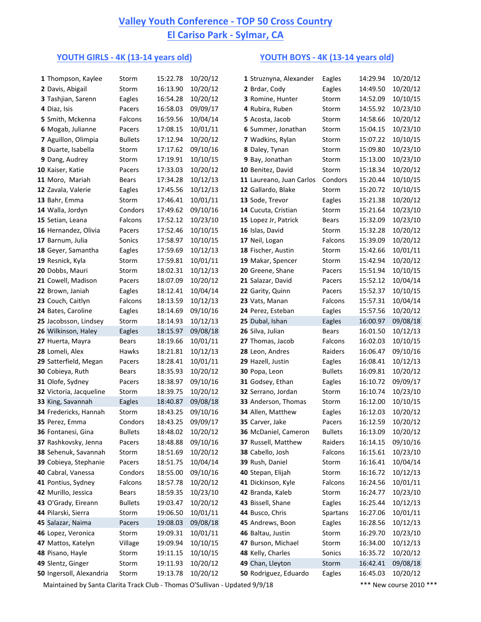## **<u>Valley Youth Conference - TOP 50 Cross Country</u> El Cariso Park - Sylmar, CA**

## **YOUTH GIRLS - 4K (13-14 years old) YOUTH BOYS - 4K (13-14 years old)**

| 1 Thompson, Kaylee                         | Storm           | 15:22.78             | 10/20/12             | 1 Struznyna, Alexander                  | Eagles           | 14:29.94             | 10/20/12             |
|--------------------------------------------|-----------------|----------------------|----------------------|-----------------------------------------|------------------|----------------------|----------------------|
| 2 Davis, Abigail                           | Storm           | 16:13.90             | 10/20/12             | 2 Brdar, Cody                           | Eagles           | 14:49.50             | 10/20/12             |
| 3 Tashjian, Sarenn                         | Eagles          | 16:54.28             | 10/20/12             | 3 Romine, Hunter                        | Storm            | 14:52.09             | 10/10/15             |
| 4 Diaz, Isis                               | Pacers          | 16:58.03             | 09/09/17             | 4 Rubira, Ruben                         | Storm            | 14:55.92             | 10/23/10             |
| 5 Smith, Mckenna                           | Falcons         | 16:59.56             | 10/04/14             | 5 Acosta, Jacob                         | Storm            | 14:58.66             | 10/20/12             |
| 6 Mogab, Julianne                          | Pacers          | 17:08.15             | 10/01/11             | 6 Summer, Jonathan                      | Storm            | 15:04.15             | 10/23/10             |
| 7 Aguillon, Olimpia                        | <b>Bullets</b>  | 17:12.94             | 10/20/12             | 7 Wadkins, Rylan                        | Storm            | 15:07.22             | 10/10/15             |
| 8 Duarte, Isabella                         | Storm           | 17:17.62             | 09/10/16             | 8 Daley, Tynan                          | Storm            | 15:09.80             | 10/23/10             |
| 9 Dang, Audrey                             | Storm           | 17:19.91             | 10/10/15             | 9 Bay, Jonathan                         | Storm            | 15:13.00             | 10/23/10             |
| 10 Kaiser, Katie                           | Pacers          | 17:33.03             | 10/20/12             | 10 Benitez, David                       | Storm            | 15:18.34             | 10/20/12             |
| 11 Moro, Mariah                            | <b>Bears</b>    | 17:34.28             | 10/12/13             | 11 Laureano, Juan Carlos                | Condors          | 15:20.44             | 10/10/15             |
| 12 Zavala, Valerie                         | Eagles          | 17:45.56             | 10/12/13             | 12 Gallardo, Blake                      | Storm            | 15:20.72             | 10/10/15             |
| 13 Bahr, Emma                              | Storm           | 17:46.41             | 10/01/11             | 13 Sode, Trevor                         | Eagles           | 15:21.38             | 10/20/12             |
| 14 Walla, Jordyn                           | Condors         | 17:49.62             | 09/10/16             | 14 Cucuta, Cristian                     | Storm            | 15:21.64             | 10/23/10             |
| 15 Setian, Leana                           | Falcons         | 17:52.12             | 10/23/10             | 15 Lopez Jr, Patrick                    | Bears            | 15:32.09             | 10/23/10             |
| 16 Hernandez, Olivia                       | Pacers          | 17:52.46             | 10/10/15             | 16 Islas, David                         | Storm            | 15:32.28             | 10/20/12             |
| 17 Barnum, Julia                           | Sonics          | 17:58.97             | 10/10/15             | 17 Neil, Logan                          | Falcons          | 15:39.09             | 10/20/12             |
| 18 Geyer, Samantha                         | Eagles          | 17:59.69             | 10/12/13             | 18 Fischer, Austin                      | Storm            | 15:42.66             | 10/01/11             |
| 19 Resnick, Kyla                           | Storm           | 17:59.81             | 10/01/11             | 19 Makar, Spencer                       | Storm            | 15:42.94             | 10/20/12             |
| 20 Dobbs, Mauri                            | Storm           | 18:02.31             | 10/12/13             | 20 Greene, Shane                        | Pacers           | 15:51.94             | 10/10/15             |
| 21 Cowell, Madison                         | Pacers          | 18:07.09             | 10/20/12             | 21 Salazar, David                       | Pacers           | 15:52.12             | 10/04/14             |
| 22 Brown, Janiah                           | Eagles          | 18:12.41             | 10/04/14             | 22 Garity, Quinn                        | Pacers           | 15:52.37             | 10/10/15             |
| 23 Couch, Caitlyn                          | Falcons         | 18:13.59             | 10/12/13             | 23 Vats, Manan                          | Falcons          | 15:57.31             | 10/04/14             |
| 24 Bates, Caroline                         | Eagles          | 18:14.69             | 09/10/16             | 24 Perez, Esteban                       | Eagles           | 15:57.56             | 10/20/12             |
| 25 Jacobsson, Lindsey                      | Storm           | 18:14.93             | 10/12/13             | 25 Dubal, Ishan                         | Eagles           | 16:00.97             | 09/08/18             |
| 26 Wilkinson, Haley                        | Eagles          | 18:15.97             | 09/08/18             | 26 Silva, Julian                        | Bears            | 16:01.50             | 10/12/13             |
| 27 Huerta, Mayra                           | Bears           | 18:19.66             | 10/01/11             | 27 Thomas, Jacob                        | Falcons          | 16:02.03             | 10/10/15             |
| 28 Lomeli, Alex                            | Hawks           | 18:21.81             | 10/12/13             | 28 Leon, Andres                         | Raiders          | 16:06.47             | 09/10/16             |
| 29 Satterfield, Megan                      | Pacers          | 18:28.41             | 10/01/11             | 29 Hazell, Justin                       | Eagles           | 16:08.41             | 10/12/13             |
| 30 Cobieya, Ruth                           | Bears           | 18:35.93             | 10/20/12             | 30 Popa, Leon                           | <b>Bullets</b>   | 16:09.81             | 10/20/12             |
| 31 Olofe, Sydney                           | Pacers          | 18:38.97             | 09/10/16             | 31 Godsey, Ethan                        | Eagles           | 16:10.72             | 09/09/17             |
| 32 Victoria, Jacqueline                    | Storm           | 18:39.75             | 10/20/12             | 32 Serrano, Jordan                      | Storm            | 16:10.74             | 10/23/10             |
| 33 King, Savannah<br>34 Fredericks, Hannah | Eagles<br>Storm | 18:40.87<br>18:43.25 | 09/08/18<br>09/10/16 | 33 Anderson, Thomas                     | Storm            | 16:12.00<br>16:12.03 | 10/10/15<br>10/20/12 |
|                                            | Condors         | 18:43.25             | 09/09/17             | 34 Allen, Matthew                       | Eagles<br>Pacers | 16:12.59             | 10/20/12             |
| 35 Perez, Emma<br>36 Fontanesi, Gina       | <b>Bullets</b>  | 18:48.02             | 10/20/12             | 35 Carver, Jake<br>36 McDaniel, Cameron | <b>Bullets</b>   | 16:13.09             | 10/20/12             |
| 37 Rashkovsky, Jenna                       | Pacers          | 18:48.88             | 09/10/16             | 37 Russell, Matthew                     | Raiders          | 16:14.15             | 09/10/16             |
| 38 Sehenuk, Savannah                       | Storm           | 18:51.69             | 10/20/12             | 38 Cabello, Josh                        | Falcons          | 16:15.61             | 10/23/10             |
| 39 Cobieya, Stephanie                      | Pacers          | 18:51.75             | 10/04/14             | 39 Rush, Daniel                         | Storm            | 16:16.41             | 10/04/14             |
| 40 Cabral, Vanessa                         | Condors         | 18:55.00             | 09/10/16             | 40 Stepan, Elijah                       | Storm            | 16:16.72             | 10/12/13             |
| 41 Pontius, Sydney                         | Falcons         | 18:57.78             | 10/20/12             | 41 Dickinson, Kyle                      | Falcons          | 16:24.56             | 10/01/11             |
| 42 Murillo, Jessica                        | Bears           | 18:59.35             | 10/23/10             | 42 Branda, Kaleb                        | Storm            | 16:24.77             | 10/23/10             |
| 43 O'Grady, Eireann                        | <b>Bullets</b>  | 19:03.47             | 10/20/12             | 43 Bissell, Shane                       | Eagles           | 16:25.44             | 10/12/13             |
| 44 Pilarski, Sierra                        | Storm           | 19:06.50             | 10/01/11             | 44 Busco, Chris                         | Spartans         | 16:27.06             | 10/01/11             |
| 45 Salazar, Naima                          | Pacers          | 19:08.03             | 09/08/18             | 45 Andrews, Boon                        | Eagles           | 16:28.56             | 10/12/13             |
| 46 Lopez, Veronica                         | Storm           | 19:09.31             | 10/01/11             | 46 Baltau, Justin                       | Storm            | 16:29.70             | 10/23/10             |
| 47 Mattos, Katelyn                         | Village         | 19:09.94             | 10/10/15             | 47 Burson, Michael                      | Storm            | 16:34.00             | 10/12/13             |
| 48 Pisano, Hayle                           | Storm           | 19:11.15             | 10/10/15             | 48 Kelly, Charles                       | Sonics           | 16:35.72             | 10/20/12             |
| 49 Slentz, Ginger                          | Storm           | 19:11.93             | 10/20/12             | 49 Chan, Lleyton                        | Storm            | 16:42.41             | 09/08/18             |
| 50 Ingersoll, Alexandria                   | Storm           | 19:13.78             | 10/20/12             | 50 Rodriguez, Eduardo                   | Eagles           | 16:45.03             | 10/20/12             |
|                                            |                 |                      |                      |                                         |                  |                      |                      |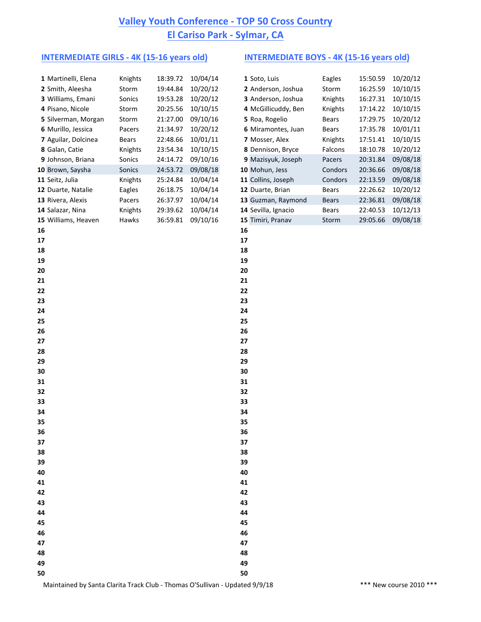## **Valley Youth Conference - TOP 50 Cross Country El Cariso Park - Sylmar, CA**

### **INTERMEDIATE GIRLS - 4K (15-16 years old) INTERMEDIATE BOYS - 4K (15-16 years old)**

| 1 Martinelli, Elena | Knights | 18:39.72 | 10/04/14 | 1 Soto, Luis        | Eagles  | 15:50.59 | 10/20/12 |
|---------------------|---------|----------|----------|---------------------|---------|----------|----------|
| 2 Smith, Aleesha    | Storm   | 19:44.84 | 10/20/12 | 2 Anderson, Joshua  | Storm   | 16:25.59 | 10/10/15 |
| 3 Williams, Emani   | Sonics  | 19:53.28 | 10/20/12 | 3 Anderson, Joshua  | Knights | 16:27.31 | 10/10/15 |
| 4 Pisano, Nicole    | Storm   | 20:25.56 | 10/10/15 | 4 McGillicuddy, Ben | Knights | 17:14.22 | 10/10/15 |
| 5 Silverman, Morgan | Storm   | 21:27.00 | 09/10/16 | 5 Roa, Rogelio      | Bears   | 17:29.75 | 10/20/12 |
| 6 Murillo, Jessica  | Pacers  | 21:34.97 | 10/20/12 | 6 Miramontes, Juan  | Bears   | 17:35.78 | 10/01/11 |
| 7 Aguilar, Dolcinea | Bears   | 22:48.66 | 10/01/11 | 7 Mosser, Alex      | Knights | 17:51.41 | 10/10/15 |
| 8 Galan, Catie      | Knights | 23:54.34 | 10/10/15 | 8 Dennison, Bryce   | Falcons | 18:10.78 | 10/20/12 |
| 9 Johnson, Briana   | Sonics  | 24:14.72 | 09/10/16 | 9 Mazisyuk, Joseph  | Pacers  | 20:31.84 | 09/08/18 |
| 10 Brown, Saysha    | Sonics  | 24:53.72 | 09/08/18 | 10 Mohun, Jess      | Condors | 20:36.66 | 09/08/18 |
| 11 Seitz, Julia     | Knights | 25:24.84 | 10/04/14 | 11 Collins, Joseph  | Condors | 22:13.59 | 09/08/18 |
| 12 Duarte, Natalie  | Eagles  | 26:18.75 | 10/04/14 | 12 Duarte, Brian    | Bears   | 22:26.62 | 10/20/12 |
| 13 Rivera, Alexis   | Pacers  | 26:37.97 | 10/04/14 | 13 Guzman, Raymond  | Bears   | 22:36.81 | 09/08/18 |
| 14 Salazar, Nina    | Knights | 29:39.62 | 10/04/14 | 14 Sevilla, Ignacio | Bears   | 22:40.53 | 10/12/13 |
| 15 Williams, Heaven | Hawks   | 36:59.81 | 09/10/16 | 15 Timiri, Pranav   | Storm   | 29:05.66 | 09/08/18 |
| 16                  |         |          |          | 16                  |         |          |          |
| 17                  |         |          |          | 17                  |         |          |          |
| 18                  |         |          |          | 18                  |         |          |          |
| 19                  |         |          |          | 19                  |         |          |          |
| 20                  |         |          |          | 20                  |         |          |          |
| 21                  |         |          |          | 21                  |         |          |          |
| 22                  |         |          |          | 22                  |         |          |          |
| 23                  |         |          |          | 23                  |         |          |          |
| 24                  |         |          |          | 24                  |         |          |          |
| 25                  |         |          |          | 25                  |         |          |          |
| 26                  |         |          |          | 26                  |         |          |          |
| 27                  |         |          |          | 27                  |         |          |          |
| 28                  |         |          |          | 28                  |         |          |          |
| 29                  |         |          |          | 29                  |         |          |          |
| 30                  |         |          |          | 30                  |         |          |          |
| 31                  |         |          |          | 31                  |         |          |          |
| 32                  |         |          |          | 32                  |         |          |          |
| 33                  |         |          |          | 33                  |         |          |          |
| 34                  |         |          |          | 34                  |         |          |          |
| 35                  |         |          |          | 35                  |         |          |          |
| 36                  |         |          |          | 36                  |         |          |          |
| 37                  |         |          |          | 37                  |         |          |          |
| 38                  |         |          |          | 38                  |         |          |          |
| 39                  |         |          |          | 39                  |         |          |          |
| 40                  |         |          |          | 40                  |         |          |          |
| 41                  |         |          |          | 41                  |         |          |          |
| 42                  |         |          |          | 42                  |         |          |          |
| 43                  |         |          |          | 43                  |         |          |          |
| 44                  |         |          |          | 44                  |         |          |          |
| 45                  |         |          |          | 45                  |         |          |          |
| 46                  |         |          |          | 46                  |         |          |          |
| 47                  |         |          |          | 47                  |         |          |          |
| 48                  |         |          |          | 48                  |         |          |          |
| 49                  |         |          |          | 49                  |         |          |          |
| 50                  |         |          |          | 50                  |         |          |          |

| Eagles                                                                                                                                                                                                                                                                                                             | 15:50.59 | 10/20/12 |
|--------------------------------------------------------------------------------------------------------------------------------------------------------------------------------------------------------------------------------------------------------------------------------------------------------------------|----------|----------|
| Storm                                                                                                                                                                                                                                                                                                              | 16:25.59 | 10/10/15 |
| Knights                                                                                                                                                                                                                                                                                                            | 16:27.31 | 10/10/15 |
| Knights                                                                                                                                                                                                                                                                                                            | 17:14.22 | 10/10/15 |
| Bears                                                                                                                                                                                                                                                                                                              | 17:29.75 | 10/20/12 |
| Bears                                                                                                                                                                                                                                                                                                              | 17:35.78 | 10/01/11 |
| Knights                                                                                                                                                                                                                                                                                                            | 17:51.41 | 10/10/15 |
| Falcons                                                                                                                                                                                                                                                                                                            | 18:10.78 | 10/20/12 |
| Pacers                                                                                                                                                                                                                                                                                                             | 20:31.84 | 09/08/18 |
| Condors                                                                                                                                                                                                                                                                                                            | 20:36.66 | 09/08/18 |
| Condors                                                                                                                                                                                                                                                                                                            | 22:13.59 | 09/08/18 |
| Bears                                                                                                                                                                                                                                                                                                              | 22:26.62 | 10/20/12 |
| <b>Bears</b>                                                                                                                                                                                                                                                                                                       | 22:36.81 | 09/08/18 |
| Bears                                                                                                                                                                                                                                                                                                              | 22:40.53 | 10/12/13 |
| Storm                                                                                                                                                                                                                                                                                                              | 29:05.66 | 09/08/18 |
|                                                                                                                                                                                                                                                                                                                    |          |          |
| 1 Soto, Luis<br>2 Anderson, Joshua<br>3 Anderson, Joshua<br>4 McGillicuddy, Ben<br>5 Roa, Rogelio<br>6 Miramontes, Juan<br>7 Mosser, Alex<br>8 Dennison, Bryce<br>9 Mazisyuk, Joseph<br>10 Mohun, Jess<br>11 Collins, Joseph<br>12 Duarte, Brian<br>13 Guzman, Raymond<br>14 Sevilla, Ignacio<br>15 Timiri, Pranav |          |          |